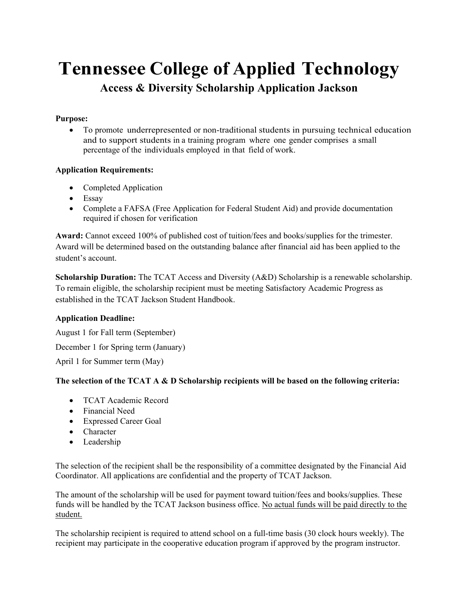### **Tennessee College of Applied Technology Access & Diversity Scholarship Application Jackson**

#### **Purpose:**

 To promote underrepresented or non-traditional students in pursuing technical education and to support students in a training program where one gender comprises a small percentage of the individuals employed in that field of work.

#### **Application Requirements:**

- Completed Application
- Essay
- Complete a FAFSA (Free Application for Federal Student Aid) and provide documentation required if chosen for verification

**Award:** Cannot exceed 100% of published cost of tuition/fees and books/supplies for the trimester. Award will be determined based on the outstanding balance after financial aid has been applied to the student's account.

**Scholarship Duration:** The TCAT Access and Diversity (A&D) Scholarship is a renewable scholarship. To remain eligible, the scholarship recipient must be meeting Satisfactory Academic Progress as established in the TCAT Jackson Student Handbook.

#### **Application Deadline:**

August 1 for Fall term (September) December 1 for Spring term (January) April 1 for Summer term (May)

#### **The selection of the TCAT A & D Scholarship recipients will be based on the following criteria:**

- TCAT Academic Record
- Financial Need
- Expressed Career Goal
- Character
- Leadership

The selection of the recipient shall be the responsibility of a committee designated by the Financial Aid Coordinator. All applications are confidential and the property of TCAT Jackson.

The amount of the scholarship will be used for payment toward tuition/fees and books/supplies. These funds will be handled by the TCAT Jackson business office. No actual funds will be paid directly to the student.

The scholarship recipient is required to attend school on a full-time basis (30 clock hours weekly). The recipient may participate in the cooperative education program if approved by the program instructor.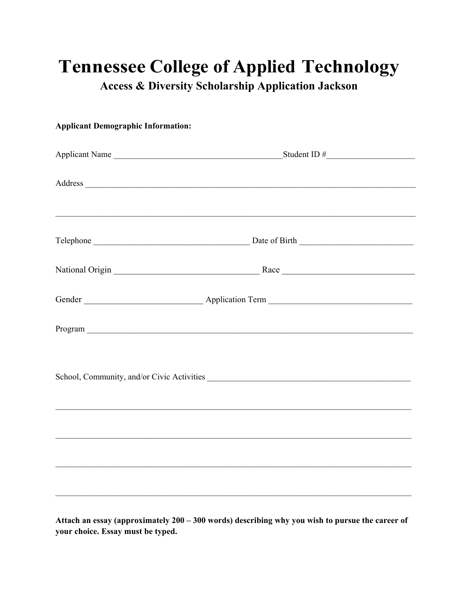## **Tennessee College of Applied Technology**

**Access & Diversity Scholarship Application Jackson** 

# **Applicant Demographic Information:** Applicant Name Student ID # Address and the contract of the contract of the contract of the contract of the contract of the contract of the contract of the contract of the contract of the contract of the contract of the contract of the contract of th Gender Application Term Application Term Program and the contract of the contract of the contract of the contract of the contract of the contract of the contract of the contract of the contract of the contract of the contract of the contract of the contract of th School, Community, and/or Civic Activities

Attach an essay (approximately 200 - 300 words) describing why you wish to pursue the career of your choice. Essay must be typed.